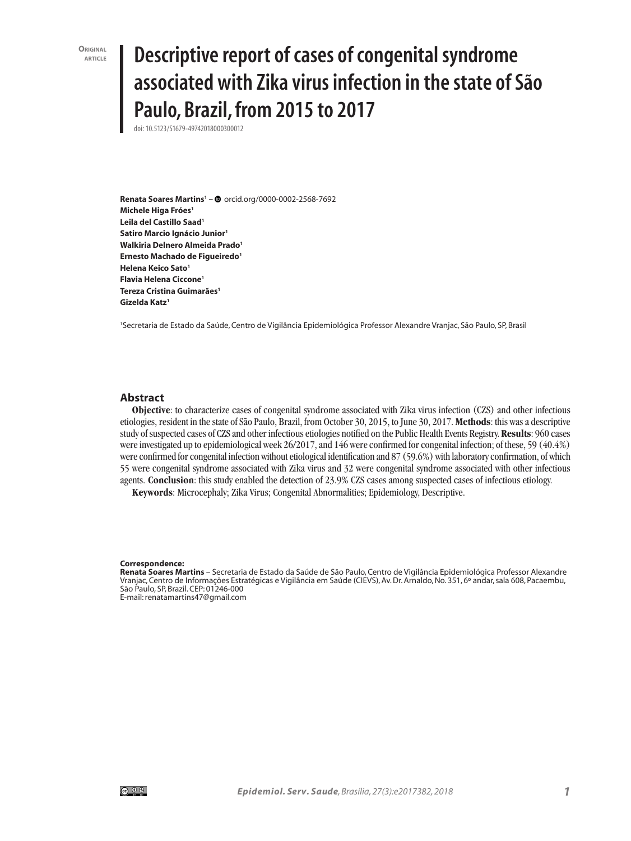**ORIGINAL**<br>**ARTICI F** 

# **article Descriptive report of cases of congenital syndrome associated with Zika virus infection in the state of São Paulo, Brazil, from 2015 to 2017**

doi: 10.5123/S1679-49742018000300012

**Renata Soares Martins1 –** orcid.org/0000-0002-2568-7692 **Michele Higa Fróes1 Leila del Castillo Saad1 Satiro Marcio Ignácio Junior1 Walkiria Delnero Almeida Prado1 Ernesto Machado de Figueiredo1 Helena Keico Sato1 Flavia Helena Ciccone1 Tereza Cristina Guimarães1 Gizelda Katz1**

1 Secretaria de Estado da Saúde, Centro de Vigilância Epidemiológica Professor Alexandre Vranjac, São Paulo, SP, Brasil

#### **Abstract**

**Objective**: to characterize cases of congenital syndrome associated with Zika virus infection (CZS) and other infectious etiologies, resident in the state of São Paulo, Brazil, from October 30, 2015, to June 30, 2017. **Methods**: this was a descriptive study of suspected cases of CZS and other infectious etiologies notified on the Public Health Events Registry. **Results**: 960 cases were investigated up to epidemiological week 26/2017, and 146 were confirmed for congenital infection; of these, 59 (40.4%) were confirmed for congenital infection without etiological identification and 87 (59.6%) with laboratory confirmation, of which 55 were congenital syndrome associated with Zika virus and 32 were congenital syndrome associated with other infectious agents. **Conclusion**: this study enabled the detection of 23.9% CZS cases among suspected cases of infectious etiology.

**Keywords**: Microcephaly; Zika Virus; Congenital Abnormalities; Epidemiology, Descriptive.

#### **Correspondence:**

**Renata Soares Martins** – Secretaria de Estado da Saúde de São Paulo, Centro de Vigilância Epidemiológica Professor Alexandre Vranjac, Centro de Informações Estratégicas e Vigilância em Saúde (CIEVS), Av. Dr. Arnaldo, No. 351, 6º andar, sala 608, Pacaembu, São Paulo, SP, Brazil. CEP: 01246-000

E-mail: renatamartins47@gmail.com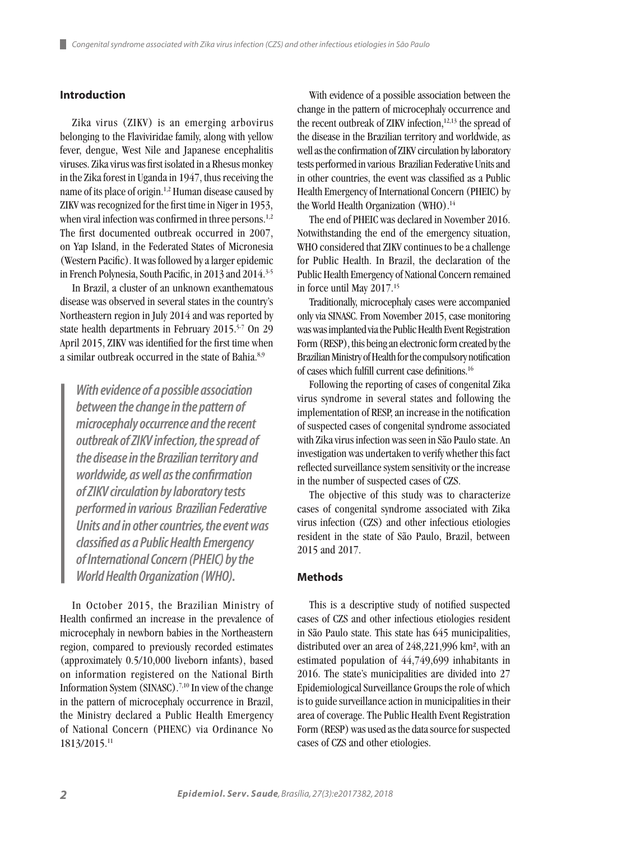# **Introduction**

Zika virus (ZIKV) is an emerging arbovirus belonging to the Flaviviridae family, along with yellow fever, dengue, West Nile and Japanese encephalitis viruses. Zika virus was first isolated in a Rhesus monkey in the Zika forest in Uganda in 1947, thus receiving the name of its place of origin.1,2 Human disease caused by ZIKV was recognized for the first time in Niger in 1953, when viral infection was confirmed in three persons.<sup>1,2</sup> The first documented outbreak occurred in 2007, on Yap Island, in the Federated States of Micronesia (Western Pacific). It was followed by a larger epidemic in French Polynesia, South Pacific, in 2013 and 2014.<sup>3-5</sup>

In Brazil, a cluster of an unknown exanthematous disease was observed in several states in the country's Northeastern region in July 2014 and was reported by state health departments in February 2015.<sup>5-7</sup> On 29 April 2015, ZIKV was identified for the first time when a similar outbreak occurred in the state of Bahia<sup>8,9</sup>

*With evidence of a possible association between the change in the pattern of microcephaly occurrence and the recent outbreak of ZIKV infection, the spread of the disease in the Brazilian territory and worldwide, as well as the confirmation of ZIKV circulation by laboratory tests performed in various Brazilian Federative Units and in other countries, the event was classified as a Public Health Emergency of International Concern (PHEIC) by the World Health Organization (WHO).*

In October 2015, the Brazilian Ministry of Health confirmed an increase in the prevalence of microcephaly in newborn babies in the Northeastern region, compared to previously recorded estimates (approximately 0.5/10,000 liveborn infants), based on information registered on the National Birth Information System (SINASC).7,10 In view of the change in the pattern of microcephaly occurrence in Brazil, the Ministry declared a Public Health Emergency of National Concern (PHENC) via Ordinance No 1813/2015.11

With evidence of a possible association between the change in the pattern of microcephaly occurrence and the recent outbreak of ZIKV infection,<sup>12,13</sup> the spread of the disease in the Brazilian territory and worldwide, as well as the confirmation of ZIKV circulation by laboratory tests performed in various Brazilian Federative Units and in other countries, the event was classified as a Public Health Emergency of International Concern (PHEIC) by the World Health Organization (WHO).<sup>14</sup>

The end of PHEIC was declared in November 2016. Notwithstanding the end of the emergency situation, WHO considered that ZIKV continues to be a challenge for Public Health. In Brazil, the declaration of the Public Health Emergency of National Concern remained in force until May 2017.15

Traditionally, microcephaly cases were accompanied only via SINASC. From November 2015, case monitoring was was implanted via the Public Health Event Registration Form (RESP), this being an electronic form created by the Brazilian Ministry of Health for the compulsory notification of cases which fulfill current case definitions.16

Following the reporting of cases of congenital Zika virus syndrome in several states and following the implementation of RESP, an increase in the notification of suspected cases of congenital syndrome associated with Zika virus infection was seen in São Paulo state. An investigation was undertaken to verify whether this fact reflected surveillance system sensitivity or the increase in the number of suspected cases of CZS.

The objective of this study was to characterize cases of congenital syndrome associated with Zika virus infection (CZS) and other infectious etiologies resident in the state of São Paulo, Brazil, between 2015 and 2017.

#### **Methods**

This is a descriptive study of notified suspected cases of CZS and other infectious etiologies resident in São Paulo state. This state has 645 municipalities, distributed over an area of 248,221,996 km², with an estimated population of 44,749,699 inhabitants in 2016. The state's municipalities are divided into 27 Epidemiological Surveillance Groups the role of which is to guide surveillance action in municipalities in their area of coverage. The Public Health Event Registration Form (RESP) was used as the data source for suspected cases of CZS and other etiologies.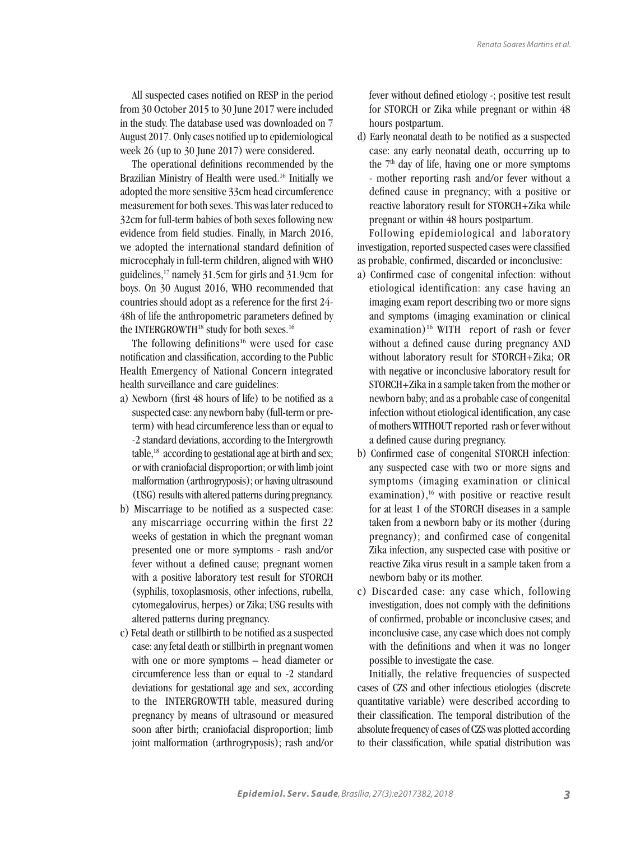All suspected cases notified on RESP in the period from 30 October 2015 to 30 June 2017 were included in the study. The database used was downloaded on 7 August 2017. Only cases notified up to epidemiological week 26 (up to 30 June 2017) were considered.

The operational definitions recommended by the Brazilian Ministry of Health were used.16 Initially we adopted the more sensitive 33cm head circumference measurement for both sexes. This was later reduced to 32cm for full-term babies of both sexes following new evidence from field studies. Finally, in March 2016, we adopted the international standard definition of microcephaly in full-term children, aligned with WHO guidelines,17 namely 31.5cm for girls and 31.9cm for boys. On 30 August 2016, WHO recommended that countries should adopt as a reference for the first 24- 48h of life the anthropometric parameters defined by the INTERGROWTH<sup>18</sup> study for both sexes.<sup>16</sup>

The following definitions<sup>16</sup> were used for case notification and classification, according to the Public Health Emergency of National Concern integrated health surveillance and care guidelines:

- a) Newborn (first 48 hours of life) to be notified as a suspected case: any newborn baby (full-term or preterm) with head circumference less than or equal to -2 standard deviations, according to the Intergrowth table,18 according to gestational age at birth and sex; or with craniofacial disproportion; or with limb joint malformation (arthrogryposis); or having ultrasound (USG) results with altered patterns during pregnancy.
- b) Miscarriage to be notified as a suspected case: any miscarriage occurring within the first 22 weeks of gestation in which the pregnant woman presented one or more symptoms - rash and/or fever without a defined cause; pregnant women with a positive laboratory test result for STORCH (syphilis, toxoplasmosis, other infections, rubella, cytomegalovirus, herpes) or Zika; USG results with altered patterns during pregnancy.
- c) Fetal death or stillbirth to be notified as a suspected case: any fetal death or stillbirth in pregnant women with one or more symptoms – head diameter or circumference less than or equal to -2 standard deviations for gestational age and sex, according to the INTERGROWTH table, measured during pregnancy by means of ultrasound or measured soon after birth; craniofacial disproportion; limb joint malformation (arthrogryposis); rash and/or

fever without defined etiology -; positive test result for STORCH or Zika while pregnant or within 48 hours postpartum.

d) Early neonatal death to be notified as a suspected case: any early neonatal death, occurring up to the  $7<sup>th</sup>$  day of life, having one or more symptoms - mother reporting rash and/or fever without a defined cause in pregnancy; with a positive or reactive laboratory result for STORCH+Zika while pregnant or within 48 hours postpartum.

Following epidemiological and laboratory investigation, reported suspected cases were classified as probable, confirmed, discarded or inconclusive:

- a) Confirmed case of congenital infection: without etiological identification: any case having an imaging exam report describing two or more signs and symptoms (imaging examination or clinical examination)<sup>16</sup> WITH report of rash or fever without a defined cause during pregnancy AND without laboratory result for STORCH+Zika; OR with negative or inconclusive laboratory result for STORCH+Zika in a sample taken from the mother or newborn baby; and as a probable case of congenital infection without etiological identification, any case of mothers WITHOUT reported rash or fever without a defined cause during pregnancy.
- b) Confirmed case of congenital STORCH infection: any suspected case with two or more signs and symptoms (imaging examination or clinical examination),<sup>16</sup> with positive or reactive result for at least 1 of the STORCH diseases in a sample taken from a newborn baby or its mother (during pregnancy); and confirmed case of congenital Zika infection, any suspected case with positive or reactive Zika virus result in a sample taken from a newborn baby or its mother.
- c) Discarded case: any case which, following investigation, does not comply with the definitions of confirmed, probable or inconclusive cases; and inconclusive case, any case which does not comply with the definitions and when it was no longer possible to investigate the case.

Initially, the relative frequencies of suspected cases of CZS and other infectious etiologies (discrete quantitative variable) were described according to their classification. The temporal distribution of the absolute frequency of cases of CZS was plotted according to their classification, while spatial distribution was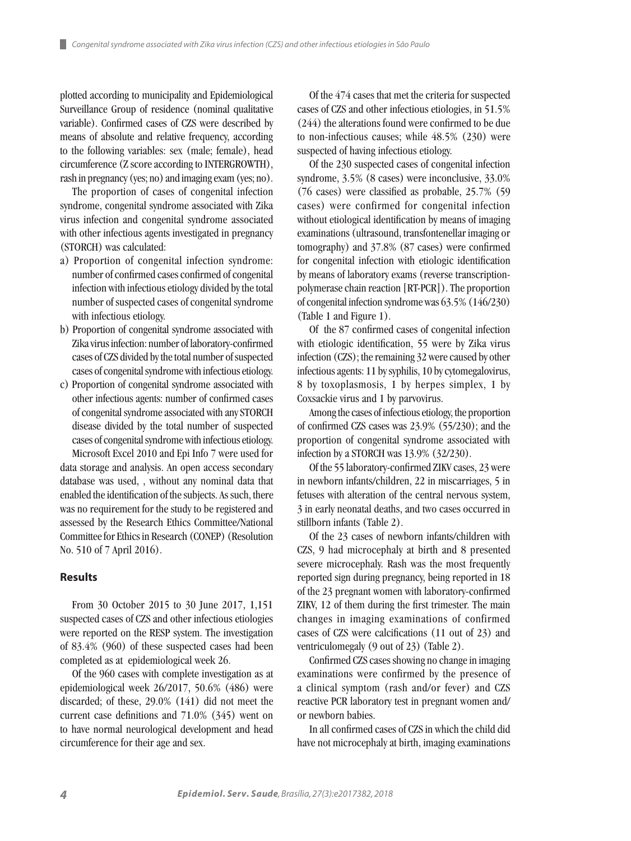plotted according to municipality and Epidemiological Surveillance Group of residence (nominal qualitative variable). Confirmed cases of CZS were described by means of absolute and relative frequency, according to the following variables: sex (male; female), head circumference (Z score according to INTERGROWTH), rash in pregnancy (yes; no) and imaging exam (yes; no).

The proportion of cases of congenital infection syndrome, congenital syndrome associated with Zika virus infection and congenital syndrome associated with other infectious agents investigated in pregnancy (STORCH) was calculated:

- a) Proportion of congenital infection syndrome: number of confirmed cases confirmed of congenital infection with infectious etiology divided by the total number of suspected cases of congenital syndrome with infectious etiology.
- b) Proportion of congenital syndrome associated with Zika virus infection: number of laboratory-confirmed cases of CZS divided by the total number of suspected cases of congenital syndrome with infectious etiology.
- c) Proportion of congenital syndrome associated with other infectious agents: number of confirmed cases of congenital syndrome associated with any STORCH disease divided by the total number of suspected cases of congenital syndrome with infectious etiology. Microsoft Excel 2010 and Epi Info 7 were used for

data storage and analysis. An open access secondary database was used, , without any nominal data that enabled the identification of the subjects. As such, there was no requirement for the study to be registered and assessed by the Research Ethics Committee/National Committee for Ethics in Research (CONEP) (Resolution No. 510 of 7 April 2016).

#### **Results**

From 30 October 2015 to 30 June 2017, 1,151 suspected cases of CZS and other infectious etiologies were reported on the RESP system. The investigation of 83.4% (960) of these suspected cases had been completed as at epidemiological week 26.

Of the 960 cases with complete investigation as at epidemiological week 26/2017, 50.6% (486) were discarded; of these, 29.0% (141) did not meet the current case definitions and 71.0% (345) went on to have normal neurological development and head circumference for their age and sex.

Of the 474 cases that met the criteria for suspected cases of CZS and other infectious etiologies, in 51.5% (244) the alterations found were confirmed to be due to non-infectious causes; while 48.5% (230) were suspected of having infectious etiology.

Of the 230 suspected cases of congenital infection syndrome, 3.5% (8 cases) were inconclusive, 33.0% (76 cases) were classified as probable, 25.7% (59 cases) were confirmed for congenital infection without etiological identification by means of imaging examinations (ultrasound, transfontenellar imaging or tomography) and 37.8% (87 cases) were confirmed for congenital infection with etiologic identification by means of laboratory exams (reverse transcriptionpolymerase chain reaction [RT-PCR]). The proportion of congenital infection syndrome was 63.5% (146/230) (Table 1 and Figure 1).

Of the 87 confirmed cases of congenital infection with etiologic identification, 55 were by Zika virus infection (CZS); the remaining 32 were caused by other infectious agents: 11 by syphilis, 10 by cytomegalovirus, 8 by toxoplasmosis, 1 by herpes simplex, 1 by Coxsackie virus and 1 by parvovirus.

Among the cases of infectious etiology, the proportion of confirmed CZS cases was 23.9% (55/230); and the proportion of congenital syndrome associated with infection by a STORCH was 13.9% (32/230).

Of the 55 laboratory-confirmed ZIKV cases, 23 were in newborn infants/children, 22 in miscarriages, 5 in fetuses with alteration of the central nervous system, 3 in early neonatal deaths, and two cases occurred in stillborn infants (Table 2).

Of the 23 cases of newborn infants/children with CZS, 9 had microcephaly at birth and 8 presented severe microcephaly. Rash was the most frequently reported sign during pregnancy, being reported in 18 of the 23 pregnant women with laboratory-confirmed ZIKV, 12 of them during the first trimester. The main changes in imaging examinations of confirmed cases of CZS were calcifications (11 out of 23) and ventriculomegaly (9 out of 23) (Table 2).

Confirmed CZS cases showing no change in imaging examinations were confirmed by the presence of a clinical symptom (rash and/or fever) and CZS reactive PCR laboratory test in pregnant women and/ or newborn babies.

In all confirmed cases of CZS in which the child did have not microcephaly at birth, imaging examinations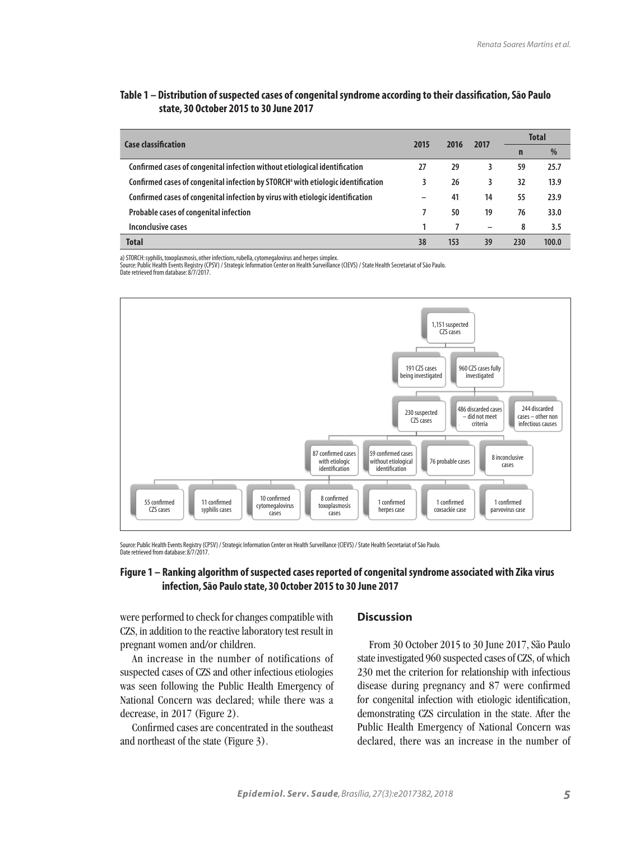# **Table 1 – Distribution of suspected cases of congenital syndrome according to their classification, São Paulo state, 30 October 2015 to 30 June 2017**

| <b>Case classification</b>                                                                   | 2015 | 2016 | 2017 | <b>Total</b> |       |
|----------------------------------------------------------------------------------------------|------|------|------|--------------|-------|
|                                                                                              |      |      |      | n            | %     |
| Confirmed cases of congenital infection without etiological identification                   | 27   | 29   | 3    | 59           | 25.7  |
| Confirmed cases of congenital infection by STORCH <sup>a</sup> with etiologic identification |      | 26   | 3    | 32           | 13.9  |
| Confirmed cases of congenital infection by virus with etiologic identification               | -    | 41   | 14   | 55           | 23.9  |
| Probable cases of congenital infection                                                       |      | 50   | 19   | 76           | 33.0  |
| Inconclusive cases                                                                           |      |      |      | 8            | 3.5   |
| <b>Total</b>                                                                                 | 38   | 153  | 39   | 230          | 100.0 |

a) STORCH: syphilis, toxoplasmosis, other infections, rubella, cytomegalovirus and herpes simplex.

Source: Public Health Events Registry (CPSV) / Strategic Information Center on Health Surveillance (CIEVS) / State Health Secretariat of São Paulo. Date retrieved from database: 8/7/2017.



Source: Public Health Events Registry (CPSV) / Strategic Information Center on Health Surveillance (CIEVS) / State Health Secretariat of São Paulo. Date retrieved from database: 8/7/2017.

# **Figure 1 – Ranking algorithm of suspected cases reported of congenital syndrome associated with Zika virus infection, São Paulo state, 30 October 2015 to 30 June 2017**

were performed to check for changes compatible with CZS, in addition to the reactive laboratory test result in pregnant women and/or children.

An increase in the number of notifications of suspected cases of CZS and other infectious etiologies was seen following the Public Health Emergency of National Concern was declared; while there was a decrease, in 2017 (Figure 2).

Confirmed cases are concentrated in the southeast and northeast of the state (Figure 3).

### **Discussion**

From 30 October 2015 to 30 June 2017, São Paulo state investigated 960 suspected cases of CZS, of which 230 met the criterion for relationship with infectious disease during pregnancy and 87 were confirmed for congenital infection with etiologic identification, demonstrating CZS circulation in the state. After the Public Health Emergency of National Concern was declared, there was an increase in the number of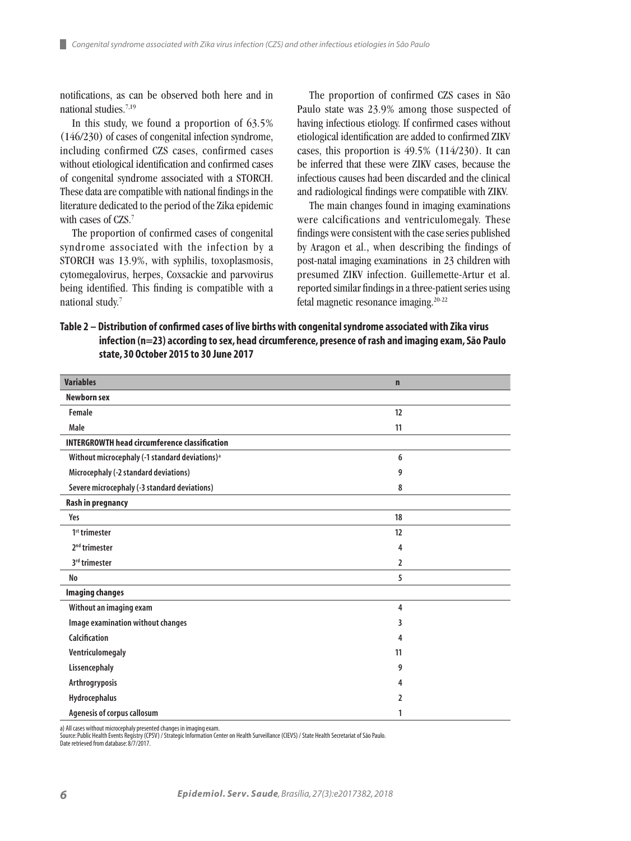notifications, as can be observed both here and in national studies.7,19

ш

In this study, we found a proportion of 63.5% (146/230) of cases of congenital infection syndrome, including confirmed CZS cases, confirmed cases without etiological identification and confirmed cases of congenital syndrome associated with a STORCH. These data are compatible with national findings in the literature dedicated to the period of the Zika epidemic with cases of CZS.<sup>7</sup>

The proportion of confirmed cases of congenital syndrome associated with the infection by a STORCH was 13.9%, with syphilis, toxoplasmosis, cytomegalovirus, herpes, Coxsackie and parvovirus being identified. This finding is compatible with a national study.<sup>7</sup>

The proportion of confirmed CZS cases in São Paulo state was 23.9% among those suspected of having infectious etiology. If confirmed cases without etiological identification are added to confirmed ZIKV cases, this proportion is 49.5% (114/230). It can be inferred that these were ZIKV cases, because the infectious causes had been discarded and the clinical and radiological findings were compatible with ZIKV.

The main changes found in imaging examinations were calcifications and ventriculomegaly. These findings were consistent with the case series published by Aragon et al., when describing the findings of post-natal imaging examinations in 23 children with presumed ZIKV infection. Guillemette-Artur et al. reported similar findings in a three-patient series using fetal magnetic resonance imaging.20-22

**Table 2 – Distribution of confirmed cases of live births with congenital syndrome associated with Zika virus infection (n=23) according to sex, head circumference, presence of rash and imaging exam, São Paulo state, 30 October 2015 to 30 June 2017**

| <b>Variables</b>                                           | $\mathbf n$    |  |
|------------------------------------------------------------|----------------|--|
| <b>Newborn sex</b>                                         |                |  |
| Female                                                     | 12             |  |
| Male                                                       | 11             |  |
| <b>INTERGROWTH head circumference classification</b>       |                |  |
| Without microcephaly (-1 standard deviations) <sup>a</sup> | 6              |  |
| Microcephaly (-2 standard deviations)                      | 9              |  |
| Severe microcephaly (-3 standard deviations)               | 8              |  |
| <b>Rash in pregnancy</b>                                   |                |  |
| Yes                                                        | 18             |  |
| 1 <sup>st</sup> trimester                                  | 12             |  |
| 2 <sup>nd</sup> trimester                                  | 4              |  |
| 3rd trimester                                              | $\overline{2}$ |  |
| No                                                         | 5              |  |
| <b>Imaging changes</b>                                     |                |  |
| Without an imaging exam                                    | 4              |  |
| Image examination without changes                          | 3              |  |
| Calcification                                              | 4              |  |
| Ventriculomegaly                                           | 11             |  |
| Lissencephaly                                              | 9              |  |
| Arthrogryposis                                             | 4              |  |
| Hydrocephalus                                              | 2              |  |
| Agenesis of corpus callosum                                | 1              |  |

a) All cases without microcephaly presented changes in imaging exam.

Source: Public Health Events Registry (CPSV) / Strategic Information Center on Health Surveillance (CIEVS) / State Health Secretariat of São Paulo. Date retrieved from database: 8/7/2017.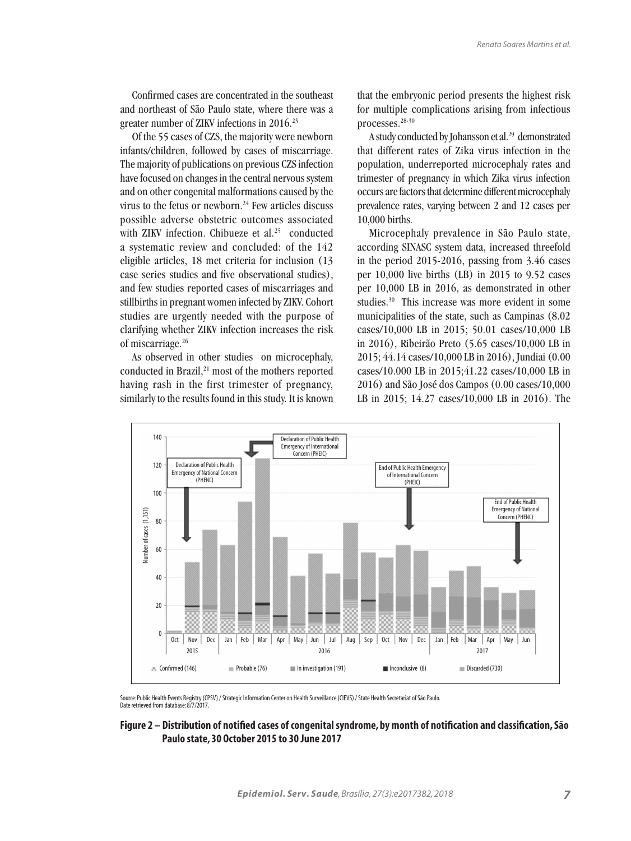Confirmed cases are concentrated in the southeast and northeast of São Paulo state, where there was a greater number of ZIKV infections in 2016.<sup>23</sup>

Of the 55 cases of CZS, the majority were newborn infants/children, followed by cases of miscarriage. The majority of publications on previous CZS infection have focused on changes in the central nervous system and on other congenital malformations caused by the virus to the fetus or newborn. $24$  Few articles discuss possible adverse obstetric outcomes associated with ZIKV infection. Chibueze et al.<sup>25</sup> conducted a systematic review and concluded: of the 142 eligible articles, 18 met criteria for inclusion (13 case series studies and five observational studies), and few studies reported cases of miscarriages and stillbirths in pregnant women infected by ZIKV. Cohort studies are urgently needed with the purpose of clarifying whether ZIKV infection increases the risk of miscarriage.26

As observed in other studies on microcephaly, conducted in Brazil,<sup>21</sup> most of the mothers reported having rash in the first trimester of pregnancy, similarly to the results found in this study. It is known that the embryonic period presents the highest risk for multiple complications arising from infectious processes.28-30

A study conducted by Johansson et al.29 demonstrated that different rates of Zika virus infection in the population, underreported microcephaly rates and trimester of pregnancy in which Zika virus infection occurs are factors that determine different microcephaly prevalence rates, varying between 2 and 12 cases per 10,000 births.

Microcephaly prevalence in São Paulo state, according SINASC system data, increased threefold in the period 2015-2016, passing from 3.46 cases per 10,000 live births (LB) in 2015 to 9.52 cases per 10,000 LB in 2016, as demonstrated in other studies.<sup>30</sup> This increase was more evident in some municipalities of the state, such as Campinas (8.02 cases/10,000 LB in 2015; 50.01 cases/10,000 LB in 2016), Ribeirão Preto (5.65 cases/10,000 LB in 2015; 44.14 cases/10,000 LB in 2016), Jundiai (0.00 cases/10.000 LB in 2015;41.22 cases/10,000 LB in 2016) and São José dos Campos (0.00 cases/10,000 LB in 2015; 14.27 cases/10,000 LB in 2016). The



Source: Public Health Events Registry (CPSV) / Strategic Information Center on Health Surveillance (CIEVS) / State Health Secretariat of São Paulo. Date retrieved from database: 8/7/2017.

#### **Figure 2 – Distribution of notified cases of congenital syndrome, by month of notification and classification, São Paulo state, 30 October 2015 to 30 June 2017**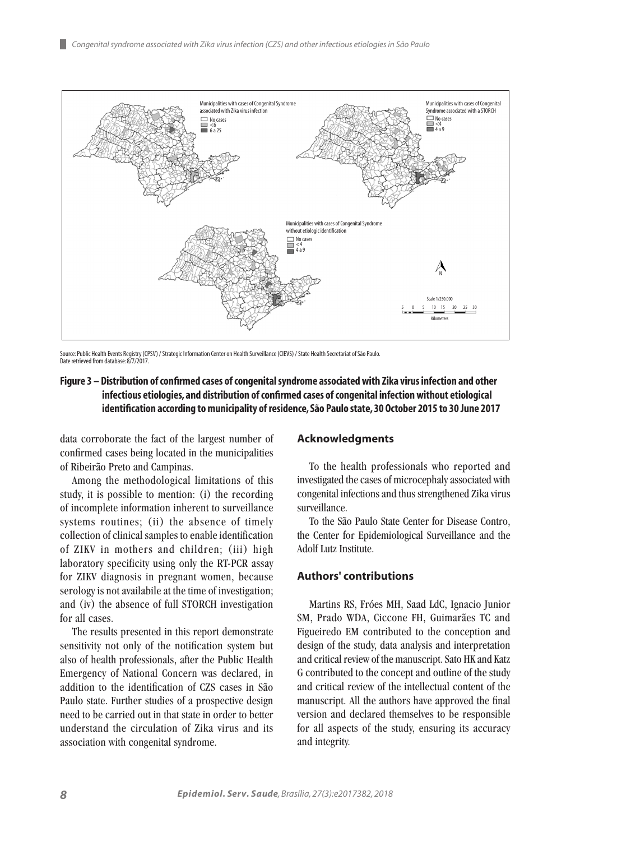

Source: Public Health Events Registry (CPSV) / Strategic Information Center on Health Surveillance (CIEVS) / State Health Secretariat of São Paulo. Date retrieved from database: 8/7/2017.

# **Figure 3 – Distribution of confirmed cases of congenital syndrome associated with Zika virus infection and other infectious etiologies, and distribution of confirmed cases of congenital infection without etiological identification according to municipality of residence, São Paulo state, 30 October 2015 to 30 June 2017**

data corroborate the fact of the largest number of confirmed cases being located in the municipalities of Ribeirão Preto and Campinas.

Among the methodological limitations of this study, it is possible to mention: (i) the recording of incomplete information inherent to surveillance systems routines; (ii) the absence of timely collection of clinical samples to enable identification of ZIKV in mothers and children; (iii) high laboratory specificity using only the RT-PCR assay for ZIKV diagnosis in pregnant women, because serology is not availabile at the time of investigation; and (iv) the absence of full STORCH investigation for all cases.

The results presented in this report demonstrate sensitivity not only of the notification system but also of health professionals, after the Public Health Emergency of National Concern was declared, in addition to the identification of CZS cases in São Paulo state. Further studies of a prospective design need to be carried out in that state in order to better understand the circulation of Zika virus and its association with congenital syndrome.

#### **Acknowledgments**

To the health professionals who reported and investigated the cases of microcephaly associated with congenital infections and thus strengthened Zika virus surveillance.

To the São Paulo State Center for Disease Contro, the Center for Epidemiological Surveillance and the Adolf Lutz Institute.

## **Authors' contributions**

Martins RS, Fróes MH, Saad LdC, Ignacio Junior SM, Prado WDA, Ciccone FH, Guimarães TC and Figueiredo EM contributed to the conception and design of the study, data analysis and interpretation and critical review of the manuscript. Sato HK and Katz G contributed to the concept and outline of the study and critical review of the intellectual content of the manuscript. All the authors have approved the final version and declared themselves to be responsible for all aspects of the study, ensuring its accuracy and integrity.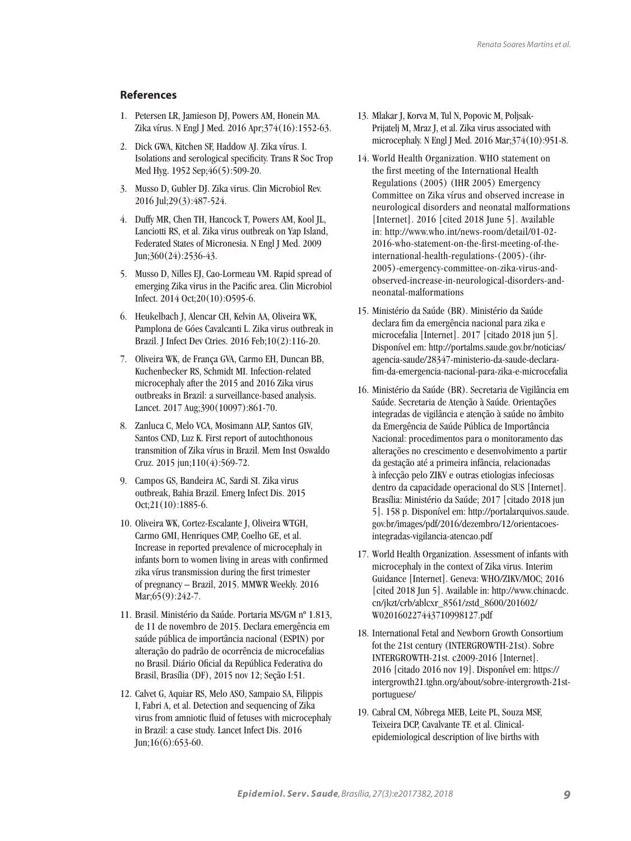# **References**

- 1. Petersen LR, Jamieson DJ, Powers AM, Honein MA. Zika vírus. N Engl J Med. 2016 Apr;374(16):1552-63.
- 2. Dick GWA, Kitchen SF, Haddow AJ. Zika vírus. I. Isolations and serological specificity. Trans R Soc Trop Med Hyg. 1952 Sep;46(5):509-20.
- 3. Musso D, Gubler DJ. Zika virus. Clin Microbiol Rev. 2016 Jul;29(3):487-524.
- 4. Duffy MR, Chen TH, Hancock T, Powers AM, Kool JL, Lanciotti RS, et al. Zika virus outbreak on Yap Island, Federated States of Micronesia. N Engl J Med. 2009 Jun;360(24):2536-43.
- 5. Musso D, Nilles EJ, Cao-Lormeau VM. Rapid spread of emerging Zika virus in the Pacific area. Clin Microbiol Infect. 2014 Oct;20(10):O595-6.
- 6. Heukelbach J, Alencar CH, Kelvin AA, Oliveira WK, Pamplona de Góes Cavalcanti L. Zika virus outbreak in Brazil. J Infect Dev Ctries. 2016 Feb;10(2):116-20.
- 7. Oliveira WK, de França GVA, Carmo EH, Duncan BB, Kuchenbecker RS, Schmidt MI. Infection-related microcephaly after the 2015 and 2016 Zika virus outbreaks in Brazil: a surveillance-based analysis. Lancet. 2017 Aug;390(10097):861-70.
- 8. Zanluca C, Melo VCA, Mosimann ALP, Santos GIV, Santos CND, Luz K. First report of autochthonous transmition of Zika vírus in Brazil. Mem Inst Oswaldo Cruz. 2015 jun;110(4):569-72.
- 9. Campos GS, Bandeira AC, Sardi SI. Zika virus outbreak, Bahia Brazil. Emerg Infect Dis. 2015 Oct;21(10):1885-6.
- 10. Oliveira WK, Cortez-Escalante J, Oliveira WTGH, Carmo GMI, Henriques CMP, Coelho GE, et al. Increase in reported prevalence of microcephaly in infants born to women living in areas with confirmed zika vírus transmission during the first trimester of pregnancy – Brazil, 2015. MMWR Weekly. 2016 Mar; 65(9): 242-7.
- 11. Brasil. Ministério da Saúde. Portaria MS/GM nº 1.813, de 11 de novembro de 2015. Declara emergência em saúde pública de importância nacional (ESPIN) por alteração do padrão de ocorrência de microcefalias no Brasil. Diário Oficial da República Federativa do Brasil, Brasília (DF), 2015 nov 12; Seção I:51.
- 12. Calvet G, Aquiar RS, Melo ASO, Sampaio SA, Filippis I, Fabri A, et al. Detection and sequencing of Zika virus from amniotic fluid of fetuses with microcephaly in Brazil: a case study. Lancet Infect Dis. 2016 Jun;16(6):653-60.
- 13. Mlakar J, Korva M, Tul N, Popovic M, Poljsak-Prijatelj M, Mraz J, et al. Zika virus associated with microcephaly. N Engl J Med. 2016 Mar;374(10):951-8.
- 14. World Health Organization. WHO statement on the first meeting of the International Health Regulations (2005) (IHR 2005) Emergency Committee on Zika vírus and observed increase in neurological disorders and neonatal malformations [Internet]. 2016 [cited 2018 June 5]. Available in: http://www.who.int/news-room/detail/01-02- 2016-who-statement-on-the-first-meeting-of-theinternational-health-regulations-(2005)-(ihr-2005)-emergency-committee-on-zika-virus-andobserved-increase-in-neurological-disorders-andneonatal-malformations
- 15. Ministério da Saúde (BR). Ministério da Saúde declara fim da emergência nacional para zika e microcefalia [Internet]. 2017 [citado 2018 jun 5]. Disponível em: http://portalms.saude.gov.br/noticias/ agencia-saude/28347-ministerio-da-saude-declarafim-da-emergencia-nacional-para-zika-e-microcefalia
- 16. Ministério da Saúde (BR). Secretaria de Vigilância em Saúde. Secretaria de Atenção à Saúde. Orientações integradas de vigilância e atenção à saúde no âmbito da Emergência de Saúde Pública de Importância Nacional: procedimentos para o monitoramento das alterações no crescimento e desenvolvimento a partir da gestação até a primeira infância, relacionadas à infecção pelo ZIKV e outras etiologias infeciosas dentro da capacidade operacional do SUS [Internet]. Brasília: Ministério da Saúde; 2017 [citado 2018 jun 5]. 158 p. Disponível em: http://portalarquivos.saude. gov.br/images/pdf/2016/dezembro/12/orientacoesintegradas-vigilancia-atencao.pdf
- 17. World Health Organization. Assessment of infants with microcephaly in the context of Zika virus. Interim Guidance [Internet]. Geneva: WHO/ZIKV/MOC; 2016 [cited 2018 Jun 5]. Available in: http://www.chinacdc. cn/jkzt/crb/ablcxr\_8561/zstd\_8600/201602/ W020160227443710998127.pdf
- 18. International Fetal and Newborn Growth Consortium fot the 21st century (INTERGROWTH-21st). Sobre INTERGROWTH-21st. c2009-2016 [Internet]. 2016 [citado 2016 nov 19]. Disponível em: https:// intergrowth21.tghn.org/about/sobre-intergrowth-21stportuguese/
- 19. Cabral CM, Nóbrega MEB, Leite PL, Souza MSF, Teixeira DCP, Cavalvante TF. et al. Clinicalepidemiological description of live births with